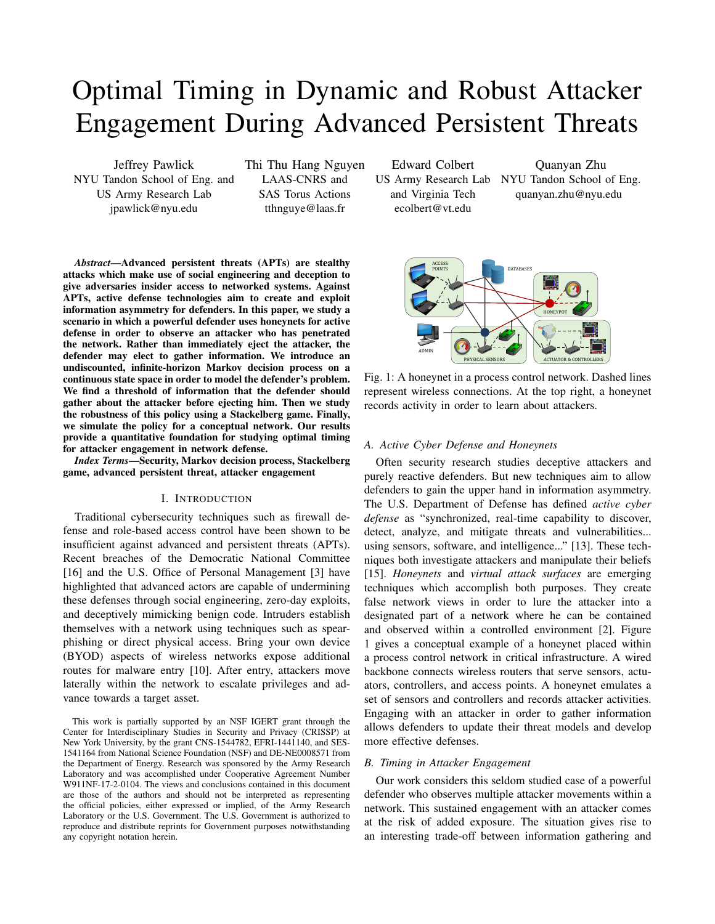# Optimal Timing in Dynamic and Robust Attacker Engagement During Advanced Persistent Threats

Jeffrey Pawlick NYU Tandon School of Eng. and US Army Research Lab jpawlick@nyu.edu

Thi Thu Hang Nguyen LAAS-CNRS and SAS Torus Actions tthnguye@laas.fr

Edward Colbert

and Virginia Tech ecolbert@vt.edu

US Army Research Lab NYU Tandon School of Eng. Quanyan Zhu quanyan.zhu@nyu.edu



*Index Terms*—Security, Markov decision process, Stackelberg game, advanced persistent threat, attacker engagement

# I. INTRODUCTION

Traditional cybersecurity techniques such as firewall defense and role-based access control have been shown to be insufficient against advanced and persistent threats (APTs). Recent breaches of the Democratic National Committee [16] and the U.S. Office of Personal Management [3] have highlighted that advanced actors are capable of undermining these defenses through social engineering, zero-day exploits, and deceptively mimicking benign code. Intruders establish themselves with a network using techniques such as spearphishing or direct physical access. Bring your own device (BYOD) aspects of wireless networks expose additional routes for malware entry [10]. After entry, attackers move laterally within the network to escalate privileges and advance towards a target asset.

This work is partially supported by an NSF IGERT grant through the Center for Interdisciplinary Studies in Security and Privacy (CRISSP) at New York University, by the grant CNS-1544782, EFRI-1441140, and SES-1541164 from National Science Foundation (NSF) and DE-NE0008571 from the Department of Energy. Research was sponsored by the Army Research Laboratory and was accomplished under Cooperative Agreement Number W911NF-17-2-0104. The views and conclusions contained in this document are those of the authors and should not be interpreted as representing the official policies, either expressed or implied, of the Army Research Laboratory or the U.S. Government. The U.S. Government is authorized to reproduce and distribute reprints for Government purposes notwithstanding any copyright notation herein.



Fig. 1: A honeynet in a process control network. Dashed lines represent wireless connections. At the top right, a honeynet records activity in order to learn about attackers.

# *A. Active Cyber Defense and Honeynets*

Often security research studies deceptive attackers and purely reactive defenders. But new techniques aim to allow defenders to gain the upper hand in information asymmetry. The U.S. Department of Defense has defined *active cyber defense* as "synchronized, real-time capability to discover, detect, analyze, and mitigate threats and vulnerabilities... using sensors, software, and intelligence..." [13]. These techniques both investigate attackers and manipulate their beliefs [15]. *Honeynets* and *virtual attack surfaces* are emerging techniques which accomplish both purposes. They create false network views in order to lure the attacker into a designated part of a network where he can be contained and observed within a controlled environment [2]. Figure 1 gives a conceptual example of a honeynet placed within a process control network in critical infrastructure. A wired backbone connects wireless routers that serve sensors, actuators, controllers, and access points. A honeynet emulates a set of sensors and controllers and records attacker activities. Engaging with an attacker in order to gather information allows defenders to update their threat models and develop more effective defenses.

### *B. Timing in Attacker Engagement*

Our work considers this seldom studied case of a powerful defender who observes multiple attacker movements within a network. This sustained engagement with an attacker comes at the risk of added exposure. The situation gives rise to an interesting trade-off between information gathering and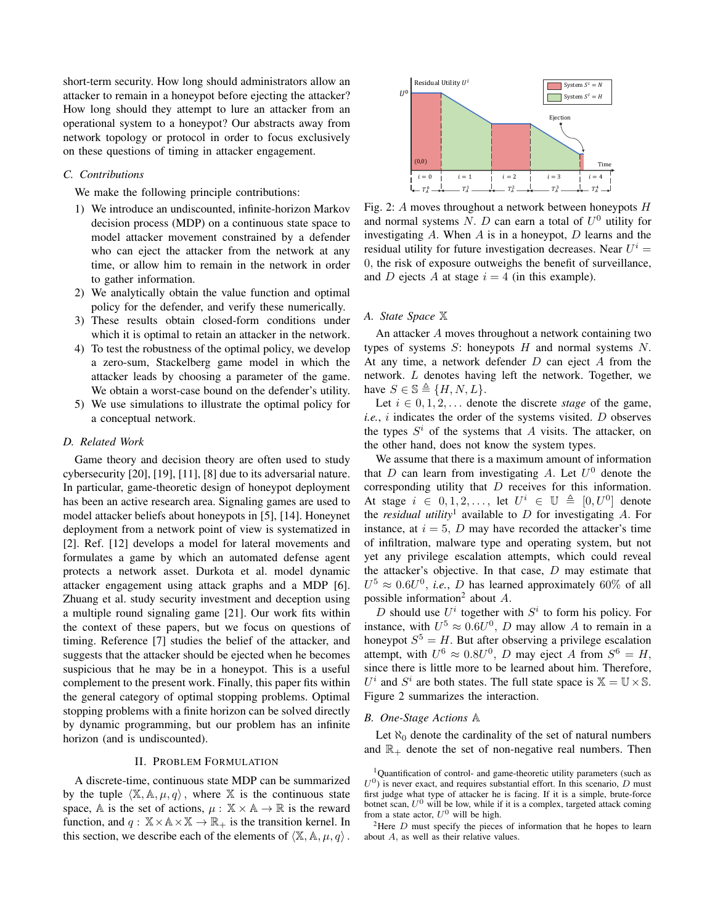short-term security. How long should administrators allow an attacker to remain in a honeypot before ejecting the attacker? How long should they attempt to lure an attacker from an operational system to a honeypot? Our abstracts away from network topology or protocol in order to focus exclusively on these questions of timing in attacker engagement.

## *C. Contributions*

We make the following principle contributions:

- 1) We introduce an undiscounted, infinite-horizon Markov decision process (MDP) on a continuous state space to model attacker movement constrained by a defender who can eject the attacker from the network at any time, or allow him to remain in the network in order to gather information.
- 2) We analytically obtain the value function and optimal policy for the defender, and verify these numerically.
- 3) These results obtain closed-form conditions under which it is optimal to retain an attacker in the network.
- 4) To test the robustness of the optimal policy, we develop a zero-sum, Stackelberg game model in which the attacker leads by choosing a parameter of the game. We obtain a worst-case bound on the defender's utility.
- 5) We use simulations to illustrate the optimal policy for a conceptual network.

## *D. Related Work*

Game theory and decision theory are often used to study cybersecurity [20], [19], [11], [8] due to its adversarial nature. In particular, game-theoretic design of honeypot deployment has been an active research area. Signaling games are used to model attacker beliefs about honeypots in [5], [14]. Honeynet deployment from a network point of view is systematized in [2]. Ref. [12] develops a model for lateral movements and formulates a game by which an automated defense agent protects a network asset. Durkota et al. model dynamic attacker engagement using attack graphs and a MDP [6]. Zhuang et al. study security investment and deception using a multiple round signaling game [21]. Our work fits within the context of these papers, but we focus on questions of timing. Reference [7] studies the belief of the attacker, and suggests that the attacker should be ejected when he becomes suspicious that he may be in a honeypot. This is a useful complement to the present work. Finally, this paper fits within the general category of optimal stopping problems. Optimal stopping problems with a finite horizon can be solved directly by dynamic programming, but our problem has an infinite horizon (and is undiscounted).

## II. PROBLEM FORMULATION

A discrete-time, continuous state MDP can be summarized by the tuple  $\langle X, A, \mu, q \rangle$ , where X is the continuous state space, A is the set of actions,  $\mu : \mathbb{X} \times \mathbb{A} \to \mathbb{R}$  is the reward function, and  $q : \mathbb{X} \times \mathbb{A} \times \mathbb{X} \to \mathbb{R}_+$  is the transition kernel. In this section, we describe each of the elements of  $\langle X, \mathbb{A}, \mu, q \rangle$ .



Fig. 2: A moves throughout a network between honeypots H and normal systems  $N$ .  $D$  can earn a total of  $U^0$  utility for investigating  $A$ . When  $A$  is in a honeypot,  $D$  learns and the residual utility for future investigation decreases. Near  $U^i$  = 0, the risk of exposure outweighs the benefit of surveillance, and D ejects A at stage  $i = 4$  (in this example).

#### *A. State Space* X

An attacker A moves throughout a network containing two types of systems  $S$ : honeypots  $H$  and normal systems  $N$ . At any time, a network defender  $D$  can eject  $A$  from the network. L denotes having left the network. Together, we have  $S \in \mathbb{S} \triangleq \{H, N, L\}.$ 

Let  $i \in {0, 1, 2, \ldots}$  denote the discrete *stage* of the game, *i.e.*, i indicates the order of the systems visited. D observes the types  $S^i$  of the systems that A visits. The attacker, on the other hand, does not know the system types.

We assume that there is a maximum amount of information that D can learn from investigating A. Let  $U^0$  denote the corresponding utility that D receives for this information. At stage  $i \in [0,1,2,\ldots]$  let  $U^i \in \mathbb{U} \triangleq [0,U^0]$  denote the *residual utility*<sup>1</sup> available to  $D$  for investigating  $A$ . For instance, at  $i = 5$ , D may have recorded the attacker's time of infiltration, malware type and operating system, but not yet any privilege escalation attempts, which could reveal the attacker's objective. In that case,  $D$  may estimate that  $U^5 \approx 0.6U^0$ , *i.e.*, *D* has learned approximately 60% of all possible information<sup>2</sup> about  $A$ .

D should use  $U^i$  together with  $S^i$  to form his policy. For instance, with  $U^5 \approx 0.6U^0$ , D may allow A to remain in a honeypot  $S^5 = H$ . But after observing a privilege escalation attempt, with  $U^6 \approx 0.8U^0$ , D may eject A from  $S^6 = H$ , since there is little more to be learned about him. Therefore,  $U^i$  and  $S^i$  are both states. The full state space is  $\mathbb{X} = \mathbb{U} \times \mathbb{S}$ . Figure 2 summarizes the interaction.

## *B. One-Stage Actions* A

Let  $\aleph_0$  denote the cardinality of the set of natural numbers and  $\mathbb{R}_+$  denote the set of non-negative real numbers. Then

<sup>&</sup>lt;sup>1</sup>Quantification of control- and game-theoretic utility parameters (such as  $U^0$ ) is never exact, and requires substantial effort. In this scenario, D must first judge what type of attacker he is facing. If it is a simple, brute-force botnet scan,  $U^0$  will be low, while if it is a complex, targeted attack coming from a state actor,  $U^0$  will be high.

<sup>&</sup>lt;sup>2</sup>Here  $D$  must specify the pieces of information that he hopes to learn about A, as well as their relative values.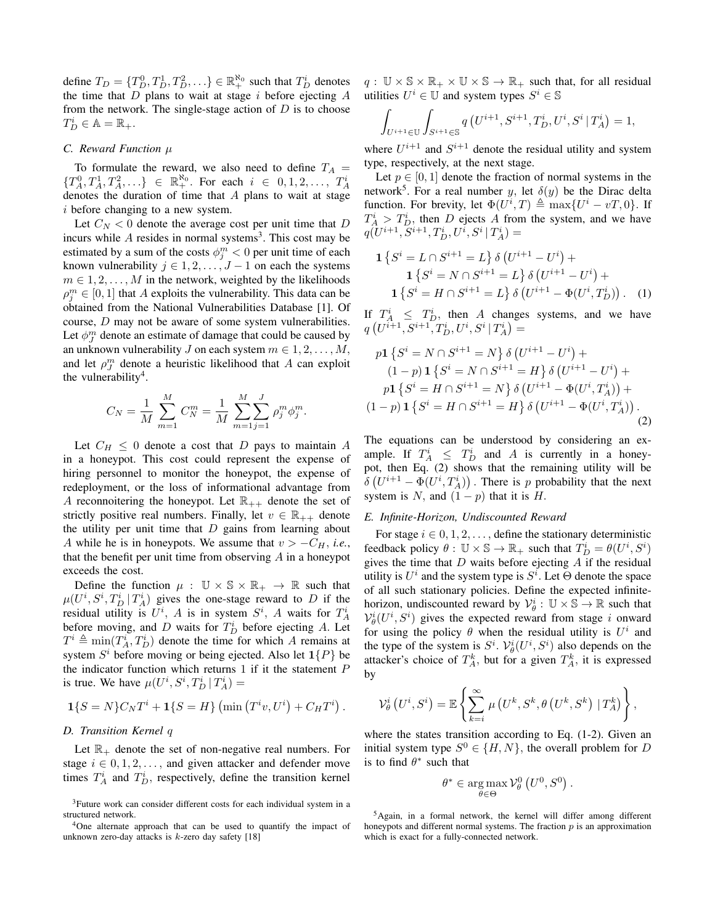define  $T_D = \{T_D^0, T_D^1, T_D^2, \ldots\} \in \mathbb{R}_+^{\aleph_0}$  such that  $T_D^i$  denotes the time that  $D$  plans to wait at stage  $i$  before ejecting  $A$ from the network. The single-stage action of  $D$  is to choose  $T_D^i \in \mathbb{A} = \mathbb{R}_+.$ 

## *C. Reward Function* µ

To formulate the reward, we also need to define  $T_A =$  ${T_A^0, T_A^1, T_A^2,...} \in \mathbb{R}_+^{\aleph_0}$ . For each  $i \in {0,1,2,..., T_A^i}$ denotes the duration of time that A plans to wait at stage i before changing to a new system.

Let  $C_N < 0$  denote the average cost per unit time that D incurs while  $A$  resides in normal systems<sup>3</sup>. This cost may be estimated by a sum of the costs  $\phi_j^m < 0$  per unit time of each known vulnerability  $j \in 1, 2, \ldots, J-1$  on each the systems  $m \in 1, 2, \ldots, M$  in the network, weighted by the likelihoods  $\rho_j^m \in [0,1]$  that A exploits the vulnerability. This data can be obtained from the National Vulnerabilities Database [1]. Of course, D may not be aware of some system vulnerabilities. Let  $\phi_J^m$  denote an estimate of damage that could be caused by an unknown vulnerability J on each system  $m \in 1, 2, \ldots, M$ , and let  $\rho_J^m$  denote a heuristic likelihood that A can exploit the vulnerability<sup>4</sup>.

$$
C_N = \frac{1}{M} \sum_{m=1}^{M} C_N^m = \frac{1}{M} \sum_{m=1}^{M} \sum_{j=1}^{J} \rho_j^m \phi_j^m.
$$

Let  $C_H \leq 0$  denote a cost that D pays to maintain A in a honeypot. This cost could represent the expense of hiring personnel to monitor the honeypot, the expense of redeployment, or the loss of informational advantage from A reconnoitering the honeypot. Let  $\mathbb{R}_{++}$  denote the set of strictly positive real numbers. Finally, let  $v \in \mathbb{R}_{++}$  denote the utility per unit time that  $D$  gains from learning about A while he is in honeypots. We assume that  $v > -C_H$ , *i.e.*, that the benefit per unit time from observing  $A$  in a honeypot exceeds the cost.

Define the function  $\mu : \mathbb{U} \times \mathbb{S} \times \mathbb{R}_+ \to \mathbb{R}$  such that  $\mu(U^i, S^i, T^i_D | T^i_A)$  gives the one-stage reward to D if the residual utility is  $U^i$ , A is in system  $S^i$ , A waits for  $T_A^i$ before moving, and D waits for  $T_D^i$  before ejecting A. Let  $T^i \triangleq \min(T_A^i, T_D^i)$  denote the time for which A remains at system  $S<sup>i</sup>$  before moving or being ejected. Also let  $1\{P\}$  be the indicator function which returns  $1$  if it the statement  $P$ is true. We have  $\mu(U^i, S^i, T^i_D | T^i_A) =$ 

$$
\mathbf{1}{S = N}C_N T^i + \mathbf{1}{S = H} \left( \min \left( T^i v, U^i \right) + C_H T^i \right).
$$

# *D. Transition Kernel* q

Let  $\mathbb{R}_+$  denote the set of non-negative real numbers. For stage  $i \in {0, 1, 2, \ldots,$  and given attacker and defender move times  $T_A^i$  and  $T_D^i$ , respectively, define the transition kernel  $q: \mathbb{U} \times \mathbb{S} \times \mathbb{R}_+ \times \mathbb{U} \times \mathbb{S} \to \mathbb{R}_+$  such that, for all residual utilities  $U^i \in \mathbb{U}$  and system types  $S^i \in \mathbb{S}$ 

$$
\int_{U^{i+1}\in\mathbb{U}}\int_{S^{i+1}\in\mathbb{S}}q\left(U^{i+1},S^{i+1},T_D^i,U^i,S^i\,|\,T_A^i\right)=1,
$$

where  $U^{i+1}$  and  $S^{i+1}$  denote the residual utility and system type, respectively, at the next stage.

Let  $p \in [0, 1]$  denote the fraction of normal systems in the network<sup>5</sup>. For a real number y, let  $\delta(y)$  be the Dirac delta function. For brevity, let  $\Phi(U^i, T) \triangleq \max\{U^i - vT, 0\}$ . If  $T_A^i > T_D^i$ , then D ejects A from the system, and we have  $q(U^{i+1}, S^{i+1}, T_D^i, U^i, S^i | T_A^i) =$ 

$$
\begin{aligned} \mathbf{1} \left\{ S^i = L \cap S^{i+1} = L \right\} \delta \left( U^{i+1} - U^i \right) + \\ \mathbf{1} \left\{ S^i = N \cap S^{i+1} = L \right\} \delta \left( U^{i+1} - U^i \right) + \\ \mathbf{1} \left\{ S^i = H \cap S^{i+1} = L \right\} \delta \left( U^{i+1} - \Phi(U^i, T_D^i) \right). \end{aligned} \tag{1}
$$

If  $T_A^i \leq T_B^i$ , then A changes systems, and we have  $q\left(U^{i+1},S^{i+1},T_{D}^{i},U^{i},S^{i} | T_{A}^{i}\right) =$ 

$$
p\mathbf{1}\left\{S^{i} = N \cap S^{i+1} = N\right\}\delta\left(U^{i+1} - U^{i}\right) +
$$
\n
$$
(1-p)\mathbf{1}\left\{S^{i} = N \cap S^{i+1} = H\right\}\delta\left(U^{i+1} - U^{i}\right) +
$$
\n
$$
p\mathbf{1}\left\{S^{i} = H \cap S^{i+1} = N\right\}\delta\left(U^{i+1} - \Phi(U^{i}, T_{A}^{i})\right) +
$$
\n
$$
(1-p)\mathbf{1}\left\{S^{i} = H \cap S^{i+1} = H\right\}\delta\left(U^{i+1} - \Phi(U^{i}, T_{A}^{i})\right).
$$
\n(2)

The equations can be understood by considering an example. If  $T_A^i \leq T_D^i$  and A is currently in a honeypot, then Eq. (2) shows that the remaining utility will be  $\delta\left(U^{i+1}-\Phi(U^i,T^i_A)\right)$ . There is p probability that the next system is N, and  $(1 - p)$  that it is H.

#### *E. Infinite-Horizon, Undiscounted Reward*

For stage  $i \in {0, 1, 2, \ldots}$ , define the stationary deterministic feedback policy  $\theta : \mathbb{U} \times \mathbb{S} \to \mathbb{R}_+$  such that  $T_D^i = \theta(U^i, S^i)$ gives the time that  $D$  waits before ejecting  $A$  if the residual utility is  $U^i$  and the system type is  $S^i$ . Let  $\Theta$  denote the space of all such stationary policies. Define the expected infinitehorizon, undiscounted reward by  $\mathcal{V}_{\theta}^i : \mathbb{U} \times \mathbb{S} \to \mathbb{R}$  such that  $V^i_{\theta}(U^i, S^i)$  gives the expected reward from stage i onward for using the policy  $\theta$  when the residual utility is  $U^i$  and the type of the system is  $S^i$ .  $\mathcal{V}_\theta^i(U^i, S^i)$  also depends on the attacker's choice of  $T_A^k$ , but for a given  $T_A^k$ , it is expressed by

$$
\mathcal{V}_{\theta}^{i}\left(U^{i}, S^{i}\right) = \mathbb{E}\left\{\sum_{k=i}^{\infty} \mu\left(U^{k}, S^{k}, \theta\left(U^{k}, S^{k}\right) | T_{A}^{k}\right)\right\},\
$$

where the states transition according to Eq. (1-2). Given an initial system type  $S^0 \in \{H, N\}$ , the overall problem for D is to find  $\theta^*$  such that

$$
\theta^* \in \underset{\theta \in \Theta}{\arg \max} \, \mathcal{V}_{\theta}^0 \left( U^0, S^0 \right).
$$

<sup>&</sup>lt;sup>3</sup>Future work can consider different costs for each individual system in a structured network.

<sup>4</sup>One alternate approach that can be used to quantify the impact of unknown zero-day attacks is  $k$ -zero day safety [18]

<sup>5</sup>Again, in a formal network, the kernel will differ among different honeypots and different normal systems. The fraction  $p$  is an approximation which is exact for a fully-connected network.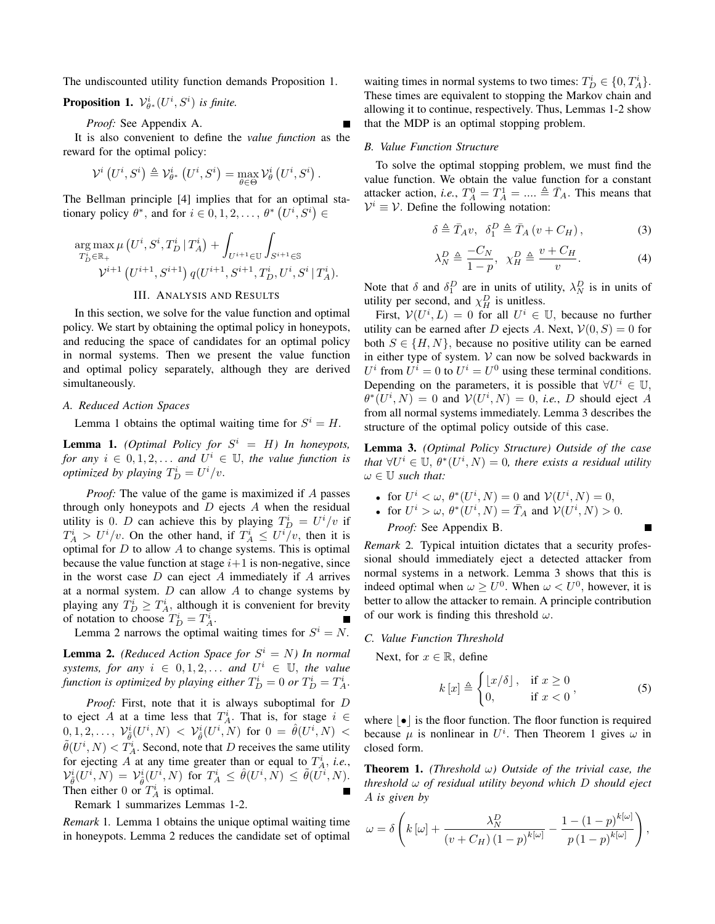The undiscounted utility function demands Proposition 1.

**Proposition 1.**  $\mathcal{V}_{\theta^*}^i(U^i, S^i)$  *is finite.* 

*Proof:* See Appendix A.

It is also convenient to define the *value function* as the reward for the optimal policy:

$$
\mathcal{V}^{i}\left(U^{i},S^{i}\right) \triangleq \mathcal{V}^{i}_{\theta^{*}}\left(U^{i},S^{i}\right) = \max_{\theta \in \Theta} \mathcal{V}^{i}_{\theta}\left(U^{i},S^{i}\right).
$$

The Bellman principle [4] implies that for an optimal stationary policy  $\theta^*$ , and for  $i \in 0, 1, 2, \ldots, \theta^*$   $(U^i, S^i) \in$ 

$$
\arg_{T_D^i \in \mathbb{R}_+} \max_{T_D^i \in \mathbb{R}_+} \mu\left(U^i, S^i, T_D^i | T_A^i\right) + \int_{U^{i+1} \in \mathbb{U}} \int_{S^{i+1} \in \mathbb{S}} \mu_{S^{i+1} \in \mathbb{S}} \nu^{i+1} \left(U^{i+1}, S^{i+1}\right) q(U^{i+1}, S^{i+1}, T_D^i, U^i, S^i | T_A^i).
$$

# III. ANALYSIS AND RESULTS

In this section, we solve for the value function and optimal policy. We start by obtaining the optimal policy in honeypots, and reducing the space of candidates for an optimal policy in normal systems. Then we present the value function and optimal policy separately, although they are derived simultaneously.

### *A. Reduced Action Spaces*

Lemma 1 obtains the optimal waiting time for  $S^i = H$ .

**Lemma 1.** *(Optimal Policy for*  $S^i = H$ *) In honeypots, for any*  $i \in [0, 1, 2, \ldots]$  *and*  $U^i \in \mathbb{U}$ *, the value function is optimized by playing*  $T_D^i = U^i/v$ .

*Proof:* The value of the game is maximized if A passes through only honeypots and  $D$  ejects  $A$  when the residual utility is 0. *D* can achieve this by playing  $T_D^i = U^i/v$  if  $T_A^i > U^i/v$ . On the other hand, if  $T_A^i \leq U^i/v$ , then it is optimal for  $D$  to allow  $A$  to change systems. This is optimal because the value function at stage  $i+1$  is non-negative, since in the worst case  $D$  can eject  $A$  immediately if  $A$  arrives at a normal system.  $D$  can allow  $A$  to change systems by playing any  $T_D^i \geq T_A^i$ , although it is convenient for brevity of notation to choose  $T_D^i = T_A^i$ .

Lemma 2 narrows the optimal waiting times for  $S^i = N$ .

**Lemma 2.** *(Reduced Action Space for*  $S^i = N$ *) In normal systems, for any*  $i \in [0, 1, 2, \ldots]$  *and*  $U^i \in \mathbb{U}$ *, the value* function is optimized by playing either  $T_D^i = 0$  or  $T_D^i = T_A^i$ .

*Proof:* First, note that it is always suboptimal for D to eject A at a time less that  $T_A^i$ . That is, for stage  $i \in$  $[0,1,2,\ldots, \; \mathcal{V}_{\tilde{\theta}}^i(U^i,N) \; < \; \mathcal{V}_{\hat{\theta}}^i(U^i,N) \; \text{ for } \; 0 \; = \; \hat{\theta}(U^i,N) \; < \; 0$  $\tilde{\theta}(U^i, N) < T_A^i$ . Second, note that D receives the same utility for ejecting A at any time greater than or equal to  $T_A^i$ , *i.e.*,  $\mathcal{V}_{\tilde{\theta}}^{i}(U^{i},N) \ = \ \mathcal{V}_{\hat{\theta}}^{i}(U^{i},N) \ \ \text{for} \ \ T^{i}_{A} \ \leq \ \hat{\theta}(U^{i},N) \ \leq \ \tilde{\theta}(U^{i},N).$ Then either 0 or  $T_A^i$  is optimal.

Remark 1 summarizes Lemmas 1-2.

*Remark* 1*.* Lemma 1 obtains the unique optimal waiting time in honeypots. Lemma 2 reduces the candidate set of optimal

waiting times in normal systems to two times:  $T_D^i \in \{0, T_A^i\}.$ These times are equivalent to stopping the Markov chain and allowing it to continue, respectively. Thus, Lemmas 1-2 show that the MDP is an optimal stopping problem.

#### *B. Value Function Structure*

To solve the optimal stopping problem, we must find the value function. We obtain the value function for a constant attacker action, *i.e.*,  $T_A^0 = T_A^1 = \dots \triangleq \overline{T}_A$ . This means that  $V^i \equiv V$ . Define the following notation:

$$
\delta \triangleq \bar{T}_A v, \ \ \delta_1^D \triangleq \bar{T}_A \left( v + C_H \right), \tag{3}
$$

$$
\lambda_N^D \triangleq \frac{-C_N}{1-p}, \ \ \chi_H^D \triangleq \frac{v + C_H}{v}.\tag{4}
$$

Note that  $\delta$  and  $\delta_1^D$  are in units of utility,  $\lambda_N^D$  is in units of utility per second, and  $\chi_H^D$  is unitless.

First,  $V(U^i, L) = 0$  for all  $U^i \in U$ , because no further utility can be earned after D ejects A. Next,  $V(0, S) = 0$  for both  $S \in \{H, N\}$ , because no positive utility can be earned in either type of system.  $V$  can now be solved backwards in  $U^i$  from  $U^i = 0$  to  $U^i = U^0$  using these terminal conditions. Depending on the parameters, it is possible that  $\forall U^i \in \mathbb{U}$ ,  $\theta^*(U^i, N) = 0$  and  $V(U^i, N) = 0$ , *i.e.*, *D* should eject *A* from all normal systems immediately. Lemma 3 describes the structure of the optimal policy outside of this case.

Lemma 3. *(Optimal Policy Structure) Outside of the case* that  $\forall U^i \in \mathbb{U}, \theta^*(U^i, N) = 0$ , there exists a residual utility  $\omega \in \mathbb{U}$  *such that:* 

- for  $U^i < \omega$ ,  $\theta^*(U^i, N) = 0$  and  $\mathcal{V}(U^i, N) = 0$ ,
- for  $U^i > \omega$ ,  $\theta^*(U^i, N) = \overline{T}_A$  and  $\mathcal{V}(U^i, N) > 0$ . *Proof:* See Appendix B.

*Remark* 2*.* Typical intuition dictates that a security professional should immediately eject a detected attacker from normal systems in a network. Lemma 3 shows that this is indeed optimal when  $\omega \ge U^0$ . When  $\omega < U^0$ , however, it is better to allow the attacker to remain. A principle contribution of our work is finding this threshold  $\omega$ .

## *C. Value Function Threshold*

Next, for  $x \in \mathbb{R}$ , define

$$
k[x] \triangleq \begin{cases} \lfloor x/\delta \rfloor, & \text{if } x \ge 0 \\ 0, & \text{if } x < 0 \end{cases}, \tag{5}
$$

where  $|\bullet|$  is the floor function. The floor function is required because  $\mu$  is nonlinear in  $U^i$ . Then Theorem 1 gives  $\omega$  in closed form.

**Theorem 1.** *(Threshold*  $\omega$ ) *Outside of the trivial case, the threshold* ω *of residual utility beyond which* D *should eject* A *is given by*

$$
\omega = \delta \left( k \left[ \omega \right] + \frac{\lambda_N^D}{\left( v + C_H \right) \left( 1 - p \right)^{k[\omega]}} - \frac{1 - \left( 1 - p \right)^{k[\omega]}}{p \left( 1 - p \right)^{k[\omega]}} \right),\,
$$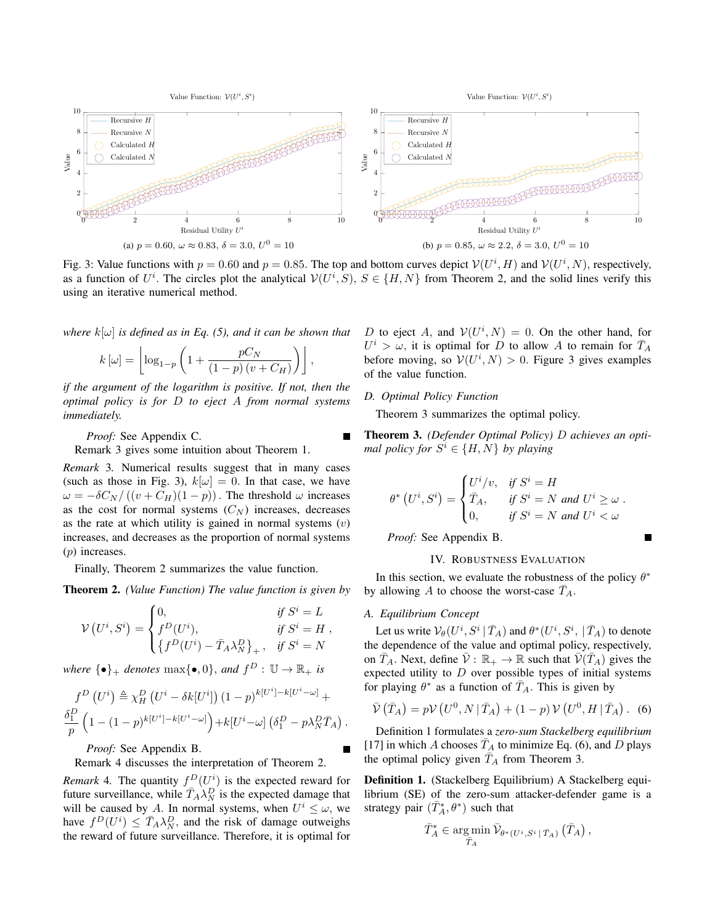

Fig. 3: Value functions with  $p = 0.60$  and  $p = 0.85$ . The top and bottom curves depict  $V(U^i, H)$  and  $V(U^i, N)$ , respectively, as a function of  $U^i$ . The circles plot the analytical  $V(U^i, S)$ ,  $S \in \{H, N\}$  from Theorem 2, and the solid lines verify this using an iterative numerical method.

*where*  $k[\omega]$  *is defined as in Eq. (5), and it can be shown that* 

$$
k\left[\omega\right] = \left\lfloor \log_{1-p} \left(1 + \frac{pC_N}{\left(1-p\right)\left(v + C_H\right)}\right)\right\rfloor,
$$

*if the argument of the logarithm is positive. If not, then the optimal policy is for* D *to eject* A *from normal systems immediately.*

*Proof:* See Appendix C.

Remark 3 gives some intuition about Theorem 1.

*Remark* 3*.* Numerical results suggest that in many cases (such as those in Fig. 3),  $k[\omega] = 0$ . In that case, we have  $\omega = -\delta C_N/((v + C_H)(1 - p))$ . The threshold  $\omega$  increases as the cost for normal systems  $(C_N)$  increases, decreases as the rate at which utility is gained in normal systems  $(v)$ increases, and decreases as the proportion of normal systems (p) increases.

Finally, Theorem 2 summarizes the value function.

Theorem 2. *(Value Function) The value function is given by*

$$
\mathcal{V}(U^i, S^i) = \begin{cases} 0, & \text{if } S^i = L \\ f^D(U^i), & \text{if } S^i = H \\ \{f^D(U^i) - \bar{T}_A \lambda_N^D\}, & \text{if } S^i = N \end{cases},
$$

*where*  $\{\bullet\}_+$  *denotes*  $\max\{\bullet, 0\}$ *, and*  $f^D : \mathbb{U} \to \mathbb{R}_+$  *is* 

$$
f^{D} (U^{i}) \triangleq \chi_{H}^{D} (U^{i} - \delta k[U^{i}]) (1-p)^{k[U^{i}] - k[U^{i} - \omega]} +
$$
  

$$
\frac{\delta_{1}^{D}}{p} (1 - (1-p)^{k[U^{i}] - k[U^{i} - \omega]}) + k[U^{i} - \omega] (\delta_{1}^{D} - p\lambda_{N}^{D} \overline{T}_{A}).
$$

*Proof:* See Appendix B.

Remark 4 discusses the interpretation of Theorem 2.

*Remark* 4. The quantity  $f^D(U^i)$  is the expected reward for future surveillance, while  $\bar{T}_A \lambda_N^D$  is the expected damage that will be caused by A. In normal systems, when  $U^i \leq \omega$ , we have  $f^D(U^i) \leq \overline{T}_A \lambda_N^D$ , and the risk of damage outweighs the reward of future surveillance. Therefore, it is optimal for

D to eject A, and  $V(U^i, N) = 0$ . On the other hand, for  $U^i > \omega$ , it is optimal for D to allow A to remain for  $\bar{T}_A$ before moving, so  $V(U^i, N) > 0$ . Figure 3 gives examples of the value function.

# *D. Optimal Policy Function*

Theorem 3 summarizes the optimal policy.

Theorem 3. *(Defender Optimal Policy)* D *achieves an optimal policy for*  $S^i \in \{H, N\}$  *by playing* 

$$
\theta^* (U^i, S^i) = \begin{cases} U^i/v, & \text{if } S^i = H \\ \bar{T}_A, & \text{if } S^i = N \text{ and } U^i \ge \omega \\ 0, & \text{if } S^i = N \text{ and } U^i < \omega \end{cases}.
$$

*Proof:* See Appendix B.

#### IV. ROBUSTNESS EVALUATION

In this section, we evaluate the robustness of the policy  $\theta^*$ by allowing A to choose the worst-case  $\overline{T}_A$ .

# *A. Equilibrium Concept*

Let us write  $\mathcal{V}_{\theta}(U^i, S^i | \bar{T}_A)$  and  $\theta^*(U^i, S^i, | \bar{T}_A)$  to denote the dependence of the value and optimal policy, respectively, on  $T_A$ . Next, define  $V : \mathbb{R}_+ \to \mathbb{R}$  such that  $V(T_A)$  gives the expected utility to  $D$  over possible types of initial systems for playing  $\theta^*$  as a function of  $\overline{T}_A$ . This is given by

$$
\bar{\mathcal{V}}\left(\bar{T}_A\right) = p\mathcal{V}\left(U^0, N \,|\, \bar{T}_A\right) + (1-p)\mathcal{V}\left(U^0, H \,|\, \bar{T}_A\right). \tag{6}
$$

Definition 1 formulates a *zero-sum Stackelberg equilibrium* [17] in which A chooses  $\overline{T}_A$  to minimize Eq. (6), and D plays the optimal policy given  $T_A$  from Theorem 3.

Definition 1. (Stackelberg Equilibrium) A Stackelberg equilibrium (SE) of the zero-sum attacker-defender game is a strategy pair  $(\bar{T}_A^*, \theta^*)$  such that

$$
\bar{T}_A^* \in \argmin_{\bar{T}_A} \bar{\mathcal{V}}_{\theta^*(U^i, S^i | \bar{T}_A)} (\bar{T}_A),
$$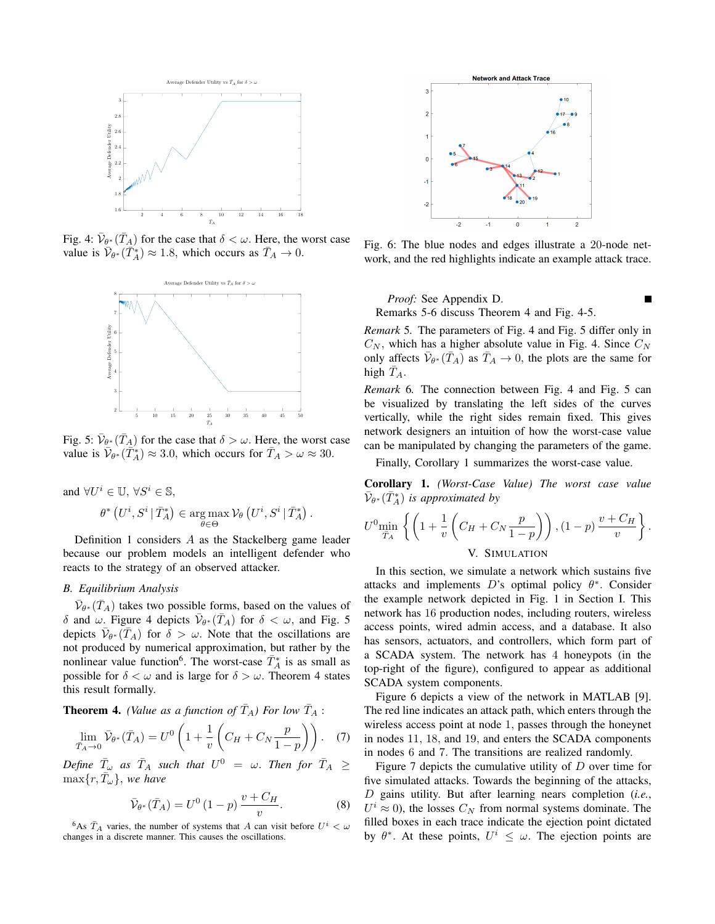

Fig. 4:  $\bar{\mathcal{V}}_{\theta^*}(\bar{T}_A)$  for the case that  $\delta < \omega$ . Here, the worst case value is  $\bar{\mathcal{V}}_{\theta^*}(\bar{T}_A^*) \approx 1.8$ , which occurs as  $\bar{T}_A \to 0$ .



Fig. 5:  $\bar{\mathcal{V}}_{\theta^*}(\bar{T}_A)$  for the case that  $\delta > \omega$ . Here, the worst case value is  $\bar{\mathcal{V}}_{\theta^*}(\bar{T}_{A}^*) \approx 3.0$ , which occurs for  $\bar{T}_A > \omega \approx 30$ .

$$
\begin{aligned} \text{and}\ \forall U^i\in\mathbb{U},\, \forall S^i\in\mathbb{S},\\ \theta^*\left(U^i,S^i\,|\,\bar{T}_A^*\right)\in\argmax_{\theta\in\Theta} \mathcal{V}_\theta\left(U^i,S^i\,|\,\bar{T}_A^*\right). \end{aligned}
$$

Definition 1 considers A as the Stackelberg game leader because our problem models an intelligent defender who reacts to the strategy of an observed attacker.

# *B. Equilibrium Analysis*

 $\bar{\mathcal{V}}_{\theta^*}(\bar{T}_A)$  takes two possible forms, based on the values of  $\delta$  and  $\omega$ . Figure 4 depicts  $\bar{\mathcal{V}}_{\theta^*}(\bar{T}_A)$  for  $\delta < \omega$ , and Fig. 5 depicts  $\bar{V}_{\theta^*}(\bar{T}_A)$  for  $\bar{\delta} > \omega$ . Note that the oscillations are not produced by numerical approximation, but rather by the nonlinear value function<sup>6</sup>. The worst-case  $\overline{T}_A^*$  is as small as possible for  $\delta < \omega$  and is large for  $\delta > \omega$ . Theorem 4 states this result formally.

**Theorem 4.** *(Value as a function of*  $\overline{T}_A$ *) For low*  $\overline{T}_A$  :

$$
\lim_{\bar{T}_A \to 0} \bar{\mathcal{V}}_{\theta^*}(\bar{T}_A) = U^0 \left( 1 + \frac{1}{v} \left( C_H + C_N \frac{p}{1-p} \right) \right). \tag{7}
$$

 $\begin{array}{rcl} \textit{Define} \ \ \bar{T}_{\omega} \ \ \textit{as} \ \ \bar{T}_A \ \ \textit{such that} \ \ U^0 \ = \ \ \omega. \ \ \textit{Then for} \ \ \bar{T}_A \ \geq \end{array}$  $\max\{r,\bar{T}_{\omega}\}\text{, we have}$ 

$$
\bar{\mathcal{V}}_{\theta^*}(\bar{T}_A) = U^0 (1 - p) \frac{v + C_H}{v}.
$$
 (8)

<sup>6</sup>As  $\bar{T}_A$  varies, the number of systems that A can visit before  $U^i < \omega$ changes in a discrete manner. This causes the oscillations.



Fig. 6: The blue nodes and edges illustrate a 20-node network, and the red highlights indicate an example attack trace.

*Proof:* See Appendix D. Remarks 5-6 discuss Theorem 4 and Fig. 4-5.

*Remark* 5*.* The parameters of Fig. 4 and Fig. 5 differ only in  $C_N$ , which has a higher absolute value in Fig. 4. Since  $C_N$ only affects  $\bar{\mathcal{V}}_{\theta^*}(\bar{T}_A)$  as  $\bar{T}_A \to 0$ , the plots are the same for high  $T_A$ .

*Remark* 6*.* The connection between Fig. 4 and Fig. 5 can be visualized by translating the left sides of the curves vertically, while the right sides remain fixed. This gives network designers an intuition of how the worst-case value can be manipulated by changing the parameters of the game.

Finally, Corollary 1 summarizes the worst-case value.

Corollary 1. *(Worst-Case Value) The worst case value*  $\bar{\mathcal{V}}_{\theta^*}(\bar{T}^*_A)$  *is approximated by* 

$$
U^{0} \underset{\bar{T}_A}{\text{min}} \left\{ \left( 1 + \frac{1}{v} \left( C_H + C_N \frac{p}{1-p} \right) \right), (1-p) \frac{v + C_H}{v} \right\}.
$$
  
V. SIMULATION

In this section, we simulate a network which sustains five attacks and implements  $D$ 's optimal policy  $\theta^*$ . Consider the example network depicted in Fig. 1 in Section I. This network has 16 production nodes, including routers, wireless access points, wired admin access, and a database. It also has sensors, actuators, and controllers, which form part of a SCADA system. The network has 4 honeypots (in the top-right of the figure), configured to appear as additional SCADA system components.

Figure 6 depicts a view of the network in MATLAB [9]. The red line indicates an attack path, which enters through the wireless access point at node 1, passes through the honeynet in nodes 11, 18, and 19, and enters the SCADA components in nodes 6 and 7. The transitions are realized randomly.

Figure 7 depicts the cumulative utility of D over time for five simulated attacks. Towards the beginning of the attacks, D gains utility. But after learning nears completion (*i.e.*,  $U^i \approx 0$ ), the losses  $C_N$  from normal systems dominate. The filled boxes in each trace indicate the ejection point dictated by  $\theta^*$ . At these points,  $U^i \leq \omega$ . The ejection points are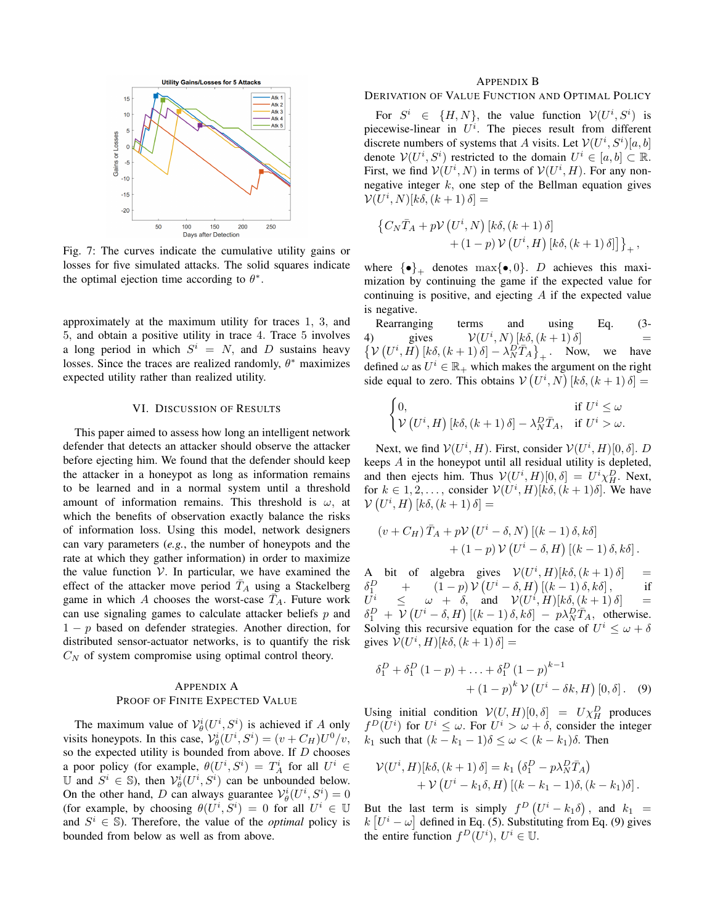

Fig. 7: The curves indicate the cumulative utility gains or losses for five simulated attacks. The solid squares indicate the optimal ejection time according to  $\theta^*$ .

approximately at the maximum utility for traces 1, 3, and 5, and obtain a positive utility in trace 4. Trace 5 involves a long period in which  $S^i = N$ , and D sustains heavy losses. Since the traces are realized randomly,  $\theta^*$  maximizes expected utility rather than realized utility.

#### VI. DISCUSSION OF RESULTS

This paper aimed to assess how long an intelligent network defender that detects an attacker should observe the attacker before ejecting him. We found that the defender should keep the attacker in a honeypot as long as information remains to be learned and in a normal system until a threshold amount of information remains. This threshold is  $\omega$ , at which the benefits of observation exactly balance the risks of information loss. Using this model, network designers can vary parameters (*e.g.*, the number of honeypots and the rate at which they gather information) in order to maximize the value function  $V$ . In particular, we have examined the effect of the attacker move period  $\bar{T}_A$  using a Stackelberg game in which A chooses the worst-case  $T_A$ . Future work can use signaling games to calculate attacker beliefs  $p$  and  $1 - p$  based on defender strategies. Another direction, for distributed sensor-actuator networks, is to quantify the risk  $C_N$  of system compromise using optimal control theory.

# APPENDIX A PROOF OF FINITE EXPECTED VALUE

The maximum value of  $\mathcal{V}_{\theta}^{i}(U^{i}, S^{i})$  is achieved if A only visits honeypots. In this case,  $V^i_{\theta}(U^i, S^i) = (v + C_H)U^0/v$ , so the expected utility is bounded from above. If  $D$  chooses a poor policy (for example,  $\theta(U^i, S^i) = T_A^i$  for all  $U^i \in$ U and  $S^i \in \mathbb{S}$ ), then  $\mathcal{V}_{\theta}^i(U^i, S^i)$  can be unbounded below. On the other hand, D can always guarantee  $\mathcal{V}_{\theta}^{i}(U^{i}, S^{i}) = 0$ (for example, by choosing  $\theta(U^i, S^i) = 0$  for all  $U^i \in \mathbb{U}$ and  $S^i \in \mathbb{S}$ ). Therefore, the value of the *optimal* policy is bounded from below as well as from above.

## APPENDIX B

# DERIVATION OF VALUE FUNCTION AND OPTIMAL POLICY

For  $S^i \in \{H, N\}$ , the value function  $V(U^i, S^i)$  is piecewise-linear in  $U^i$ . The pieces result from different discrete numbers of systems that A visits. Let  $V(U^i, S^i)[a, b]$ denote  $V(U^i, S^i)$  restricted to the domain  $U^i \in [a, b] \subset \mathbb{R}$ . First, we find  $V(U^i, N)$  in terms of  $V(U^i, H)$ . For any nonnegative integer  $k$ , one step of the Bellman equation gives  $\mathcal{V}(U^i, N)[k\delta, (k+1)\delta] =$ 

$$
\left\{C_{N}\bar{T}_{A}+p\mathcal{V}\left(U^{i},N\right)\left[k\delta,\left(k+1\right)\delta\right]\right.\left.\left.+\left(1-p\right)\mathcal{V}\left(U^{i},H\right)\left[k\delta,\left(k+1\right)\delta\right]\right]\right\}_{+},
$$

where  $\{\bullet\}_+$  denotes max $\{\bullet, 0\}$ . D achieves this maximization by continuing the game if the expected value for continuing is positive, and ejecting  $A$  if the expected value is negative.

Rearranging terms and using Eq. (3- 4) gives  $V(U^i, N) [k\delta, (k+1) \delta]$  =<br>  $\{V(U^i, H) [k\delta, (k+1) \delta] - \lambda_N^D \bar{T}_A \}_+$ . Now, we have  $i, N$  [ $k\delta, (k+1)\delta$ ] = defined  $\omega$  as  $U^i \in \mathbb{R}_+$  which makes the argument on the right side equal to zero. This obtains  $V(U^i, N)$   $[k\delta, (k+1)\delta] =$ 

$$
\begin{cases} 0, & \text{if } U^i \le \omega \\ \mathcal{V} (U^i, H) [k\delta, (k+1)\delta] - \lambda_N^D \bar{T}_A, & \text{if } U^i > \omega. \end{cases}
$$

Next, we find  $V(U^i, H)$ . First, consider  $V(U^i, H)[0, \delta]$ . D keeps A in the honeypot until all residual utility is depleted, and then ejects him. Thus  $V(U^i, H)[0, \delta] = U^i \chi_H^D$ . Next, for  $k \in 1, 2, \ldots$ , consider  $V(U^i, H)[k\delta, (k+1)\delta]$ . We have  $\mathcal{V}\left(U^i,H\right)\left[k\delta,\left(k+1\right)\delta\right]=$ 

$$
(v + C_H) \bar{T}_A + p\mathcal{V} (U^i - \delta, N) [(k - 1) \delta, k\delta] + (1 - p) \mathcal{V} (U^i - \delta, H) [(k - 1) \delta, k\delta].
$$

A bit of algebra gives  $V(U^i, H)[k\delta, (k+1)\delta] =$  $\delta_1^D$  $\frac{D}{1}$  +  $(1-p) V (U^i - \delta, H) [(k-1)\delta, k\delta],$  if  $U^i$  $i \leq \omega + \delta$ , and  $\mathcal{V}(U^i, H)[k\delta, (k+1)\delta] =$  $\delta_1^D$  +  $V(U^i - \delta, H)$   $[(k-1)\delta, k\delta]$  -  $p\lambda_N^D \overline{T}_A$ , otherwise. Solving this recursive equation for the case of  $U^i \leq \omega + \delta$ gives  $V(U^i, H)[k\delta, (k+1)\delta] =$ 

$$
\delta_1^D + \delta_1^D (1 - p) + \ldots + \delta_1^D (1 - p)^{k-1} + (1 - p)^k \mathcal{V} (U^i - \delta k, H) [0, \delta]. \quad (9)
$$

Using initial condition  $V(U, H)[0, \delta] = U \chi_H^D$  produces  $f^D(U^i)$  for  $U^i \leq \omega$ . For  $U^i > \omega + \delta$ , consider the integer k<sub>1</sub> such that  $(k - k_1 - 1)\delta \leq \omega < (k - k_1)\delta$ . Then

$$
\mathcal{V}(U^i, H)[k\delta, (k+1)\delta] = k_1 \left(\delta_1^D - p\lambda_N^D \bar{T}_A\right) + \mathcal{V}\left(U^i - k_1\delta, H\right)[(k-k_1-1)\delta, (k-k_1)\delta].
$$

But the last term is simply  $f^D\left(U^i - k_1\delta\right)$ , and  $k_1 =$  $k\left[U^i - \omega\right]$  defined in Eq. (5). Substituting from Eq. (9) gives the entire function  $f^D(\overline{U}^i)$ ,  $U^i \in \mathbb{U}$ .